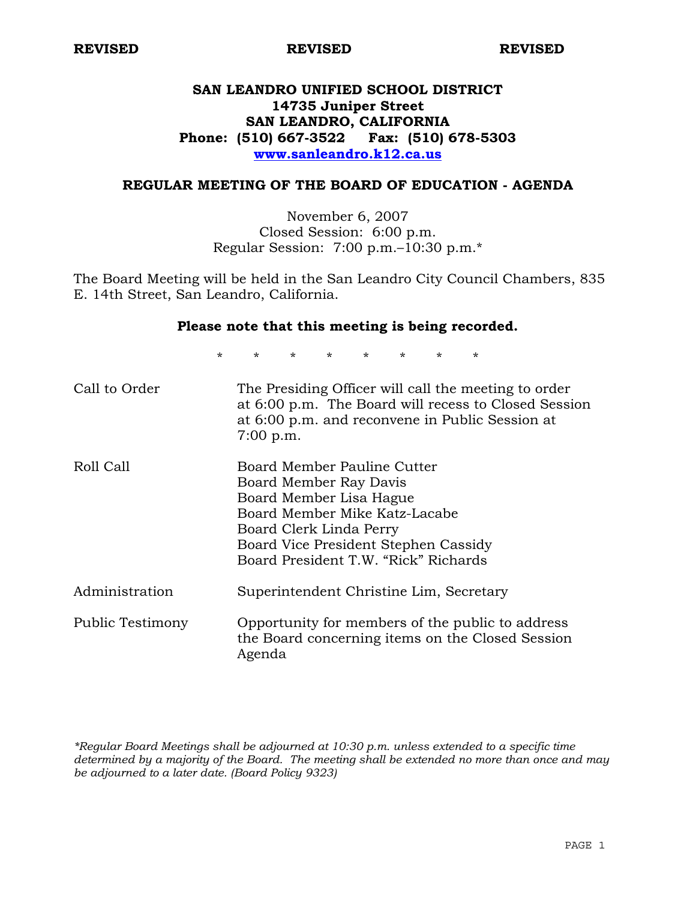# **SAN LEANDRO UNIFIED SCHOOL DISTRICT 14735 Juniper Street SAN LEANDRO, CALIFORNIA Phone: (510) 667-3522 Fax: (510) 678-5303 www.sanleandro.k12.ca.us**

### **REGULAR MEETING OF THE BOARD OF EDUCATION - AGENDA**

November 6, 2007 Closed Session: 6:00 p.m. Regular Session: 7:00 p.m.–10:30 p.m.\*

The Board Meeting will be held in the San Leandro City Council Chambers, 835 E. 14th Street, San Leandro, California.

### **Please note that this meeting is being recorded.**

\* \* \* \* \* \* \* \*

| Call to Order    | The Presiding Officer will call the meeting to order<br>at 6:00 p.m. The Board will recess to Closed Session<br>at 6:00 p.m. and reconvene in Public Session at<br>$7:00$ p.m.                                               |
|------------------|------------------------------------------------------------------------------------------------------------------------------------------------------------------------------------------------------------------------------|
| Roll Call        | Board Member Pauline Cutter<br>Board Member Ray Davis<br>Board Member Lisa Hague<br>Board Member Mike Katz-Lacabe<br>Board Clerk Linda Perry<br>Board Vice President Stephen Cassidy<br>Board President T.W. "Rick" Richards |
| Administration   | Superintendent Christine Lim, Secretary                                                                                                                                                                                      |
| Public Testimony | Opportunity for members of the public to address<br>the Board concerning items on the Closed Session<br>Agenda                                                                                                               |

*\*Regular Board Meetings shall be adjourned at 10:30 p.m. unless extended to a specific time determined by a majority of the Board. The meeting shall be extended no more than once and may be adjourned to a later date. (Board Policy 9323)*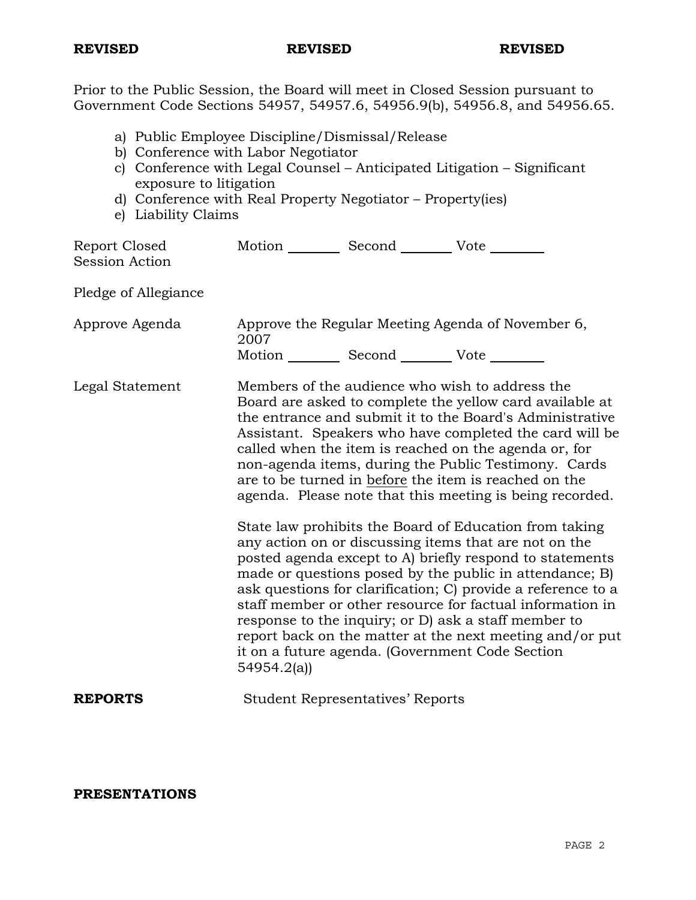Prior to the Public Session, the Board will meet in Closed Session pursuant to Government Code Sections 54957, 54957.6, 54956.9(b), 54956.8, and 54956.65.

- a) Public Employee Discipline/Dismissal/Release
- b) Conference with Labor Negotiator
- c) Conference with Legal Counsel Anticipated Litigation Significant exposure to litigation
- d) Conference with Real Property Negotiator Property(ies)
- e) Liability Claims

| Report Closed         | Motion | Second | Vote |
|-----------------------|--------|--------|------|
| <b>Session Action</b> |        |        |      |

Pledge of Allegiance

| Approve Agenda |        | Approve the Regular Meeting Agenda of November 6,<br>2007 |      |  |  |
|----------------|--------|-----------------------------------------------------------|------|--|--|
|                | Motion | Second                                                    | Vote |  |  |

Legal Statement Members of the audience who wish to address the Board are asked to complete the yellow card available at the entrance and submit it to the Board's Administrative Assistant. Speakers who have completed the card will be called when the item is reached on the agenda or, for non-agenda items, during the Public Testimony. Cards are to be turned in before the item is reached on the agenda. Please note that this meeting is being recorded.

> State law prohibits the Board of Education from taking any action on or discussing items that are not on the posted agenda except to A) briefly respond to statements made or questions posed by the public in attendance; B) ask questions for clarification; C) provide a reference to a staff member or other resource for factual information in response to the inquiry; or D) ask a staff member to report back on the matter at the next meeting and/or put it on a future agenda. (Government Code Section 54954.2(a))

**REPORTS** Student Representatives' Reports

**PRESENTATIONS**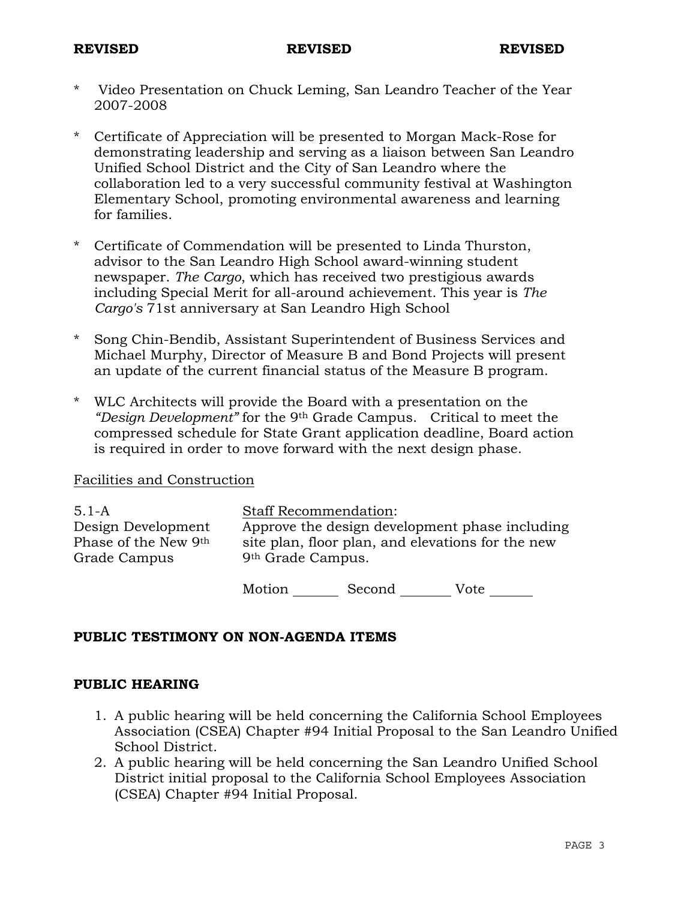- Video Presentation on Chuck Leming, San Leandro Teacher of the Year 2007-2008
- \* Certificate of Appreciation will be presented to Morgan Mack-Rose for demonstrating leadership and serving as a liaison between San Leandro Unified School District and the City of San Leandro where the collaboration led to a very successful community festival at Washington Elementary School, promoting environmental awareness and learning for families.
- \* Certificate of Commendation will be presented to Linda Thurston, advisor to the San Leandro High School award-winning student newspaper. *The Cargo*, which has received two prestigious awards including Special Merit for all-around achievement. This year is *The Cargo's* 71st anniversary at San Leandro High School
- \* Song Chin-Bendib, Assistant Superintendent of Business Services and Michael Murphy, Director of Measure B and Bond Projects will present an update of the current financial status of the Measure B program.
- \* WLC Architects will provide the Board with a presentation on the *"Design Development"* for the 9th Grade Campus. Critical to meet the compressed schedule for State Grant application deadline, Board action is required in order to move forward with the next design phase.

## Facilities and Construction

| 5.1-A                | <b>Staff Recommendation:</b>                      |
|----------------------|---------------------------------------------------|
| Design Development   | Approve the design development phase including    |
| Phase of the New 9th | site plan, floor plan, and elevations for the new |
| Grade Campus         | 9 <sup>th</sup> Grade Campus.                     |
|                      |                                                   |

Motion Second Vote \_\_\_\_\_\_

# **PUBLIC TESTIMONY ON NON-AGENDA ITEMS**

## **PUBLIC HEARING**

- 1. A public hearing will be held concerning the California School Employees Association (CSEA) Chapter #94 Initial Proposal to the San Leandro Unified School District.
- 2. A public hearing will be held concerning the San Leandro Unified School District initial proposal to the California School Employees Association (CSEA) Chapter #94 Initial Proposal.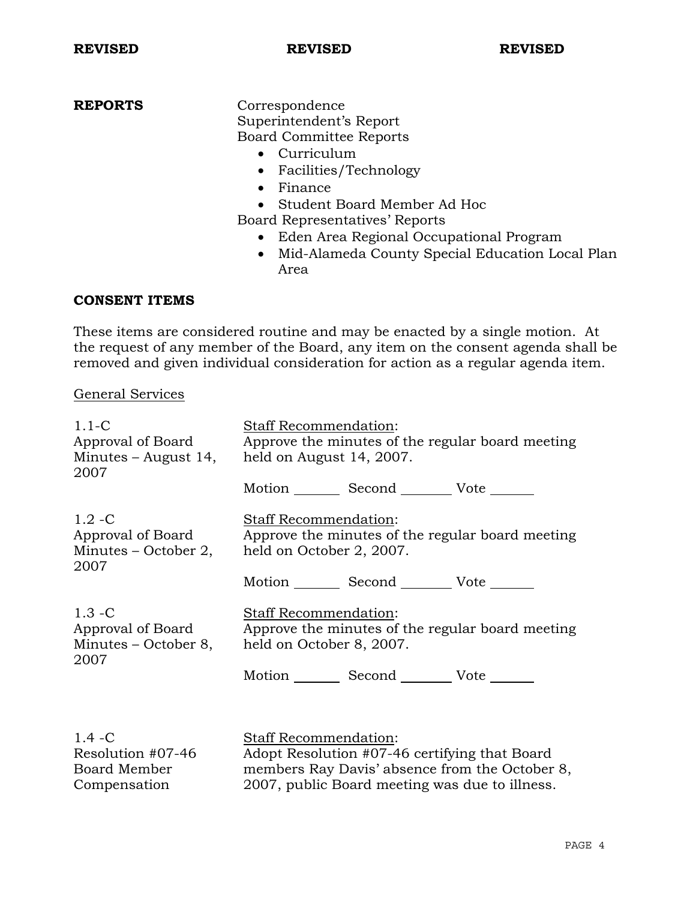**REPORTS** Correspondence Superintendent's Report Board Committee Reports

- Curriculum
- Facilities/Technology
- Finance
- Student Board Member Ad Hoc
- Board Representatives' Reports
	- Eden Area Regional Occupational Program
	- Mid-Alameda County Special Education Local Plan Area

## **CONSENT ITEMS**

These items are considered routine and may be enacted by a single motion. At the request of any member of the Board, any item on the consent agenda shall be removed and given individual consideration for action as a regular agenda item.

## General Services

| $1.1-C$                                                        | Staff Recommendation:                                                                                 |
|----------------------------------------------------------------|-------------------------------------------------------------------------------------------------------|
| Approval of Board                                              | Approve the minutes of the regular board meeting                                                      |
| Minutes $-$ August 14,                                         | held on August 14, 2007.                                                                              |
| 2007                                                           | Motion Second Vote ______                                                                             |
| $1.2 - C$<br>Approval of Board<br>Minutes – October 2,<br>2007 | Staff Recommendation:<br>Approve the minutes of the regular board meeting<br>held on October 2, 2007. |
| $1.3 - C$                                                      | Motion _________ Second __________ Vote _______                                                       |
| Approval of Board                                              | Staff Recommendation:                                                                                 |
| Minutes – October 8,                                           | Approve the minutes of the regular board meeting                                                      |
| 2007                                                           | held on October 8, 2007.                                                                              |
|                                                                | Motion _________ Second __________ Vote _______                                                       |
| $1.4 - C$                                                      | Staff Recommendation:                                                                                 |
| Resolution #07-46                                              | Adopt Resolution #07-46 certifying that Board                                                         |
| Board Member                                                   | members Ray Davis' absence from the October 8,                                                        |
| Compensation                                                   | 2007, public Board meeting was due to illness.                                                        |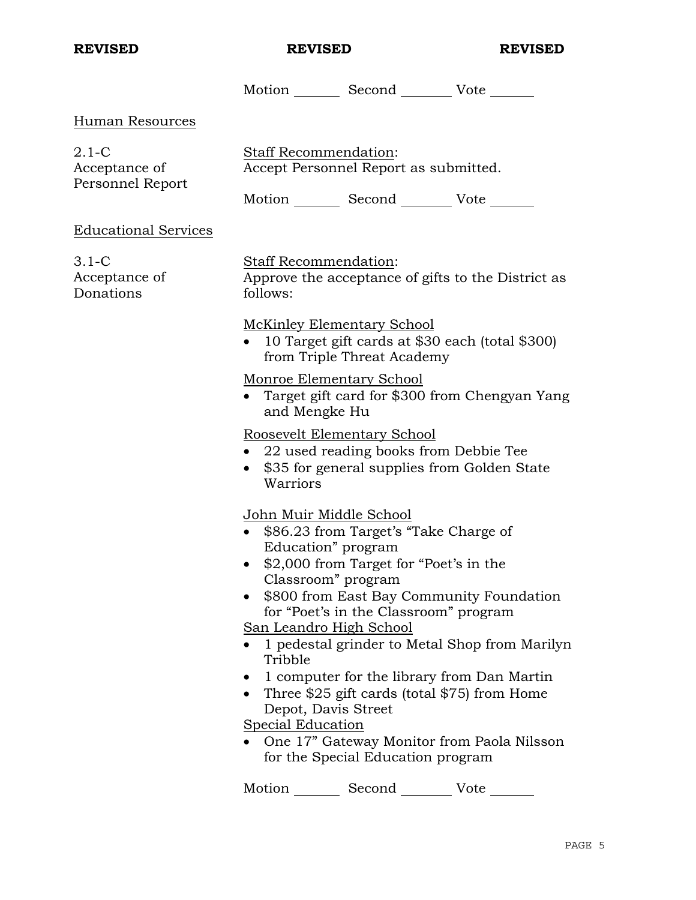|                                              |                                                                                                                               | Motion Second Vote                                                                                                                                                     |                                                                                           |  |  |
|----------------------------------------------|-------------------------------------------------------------------------------------------------------------------------------|------------------------------------------------------------------------------------------------------------------------------------------------------------------------|-------------------------------------------------------------------------------------------|--|--|
| <b>Human Resources</b>                       |                                                                                                                               |                                                                                                                                                                        |                                                                                           |  |  |
| $2.1-C$<br>Acceptance of<br>Personnel Report | <b>Staff Recommendation:</b><br>Accept Personnel Report as submitted.<br>Motion _________ Second ___________ Vote _______     |                                                                                                                                                                        |                                                                                           |  |  |
| <b>Educational Services</b>                  |                                                                                                                               |                                                                                                                                                                        |                                                                                           |  |  |
| $3.1-C$<br>Acceptance of<br>Donations        | Staff Recommendation:<br>follows:                                                                                             |                                                                                                                                                                        | Approve the acceptance of gifts to the District as                                        |  |  |
|                                              | <b>McKinley Elementary School</b>                                                                                             | from Triple Threat Academy                                                                                                                                             | 10 Target gift cards at \$30 each (total \$300)                                           |  |  |
|                                              | Monroe Elementary School<br>Target gift card for \$300 from Chengyan Yang<br>and Mengke Hu                                    |                                                                                                                                                                        |                                                                                           |  |  |
|                                              | Roosevelt Elementary School<br>$\bullet$<br>Warriors                                                                          | • 22 used reading books from Debbie Tee<br>\$35 for general supplies from Golden State                                                                                 |                                                                                           |  |  |
|                                              | John Muir Middle School<br>Education" program<br>Classroom" program<br><u>San Leandro High School</u><br>$\bullet$<br>Tribble | \$86.23 from Target's "Take Charge of<br>\$2,000 from Target for "Poet's in the<br>for "Poet's in the Classroom" program<br>1 computer for the library from Dan Martin | \$800 from East Bay Community Foundation<br>1 pedestal grinder to Metal Shop from Marilyn |  |  |
|                                              | Depot, Davis Street<br><b>Special Education</b>                                                                               | Three \$25 gift cards (total \$75) from Home<br>for the Special Education program                                                                                      | One 17" Gateway Monitor from Paola Nilsson                                                |  |  |
|                                              | Motion                                                                                                                        | Second                                                                                                                                                                 | Vote                                                                                      |  |  |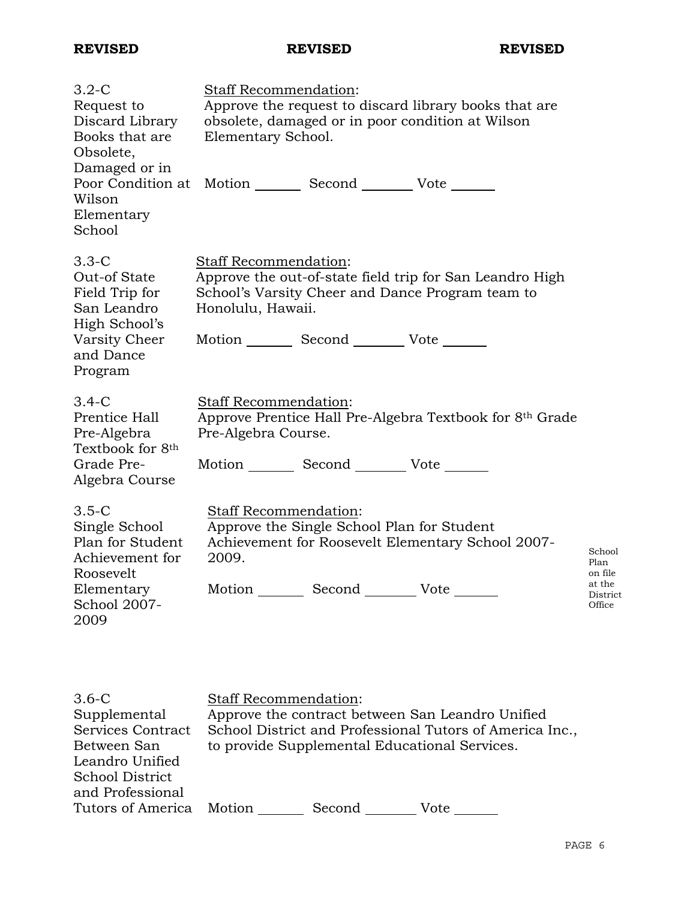| $3.2 - C$<br>Request to<br>Discard Library<br>Books that are                                                       | Staff Recommendation:<br>Approve the request to discard library books that are<br>obsolete, damaged or in poor condition at Wilson<br>Elementary School.                         |                                                           |  |  |
|--------------------------------------------------------------------------------------------------------------------|----------------------------------------------------------------------------------------------------------------------------------------------------------------------------------|-----------------------------------------------------------|--|--|
| Obsolete,<br>Damaged or in<br>Poor Condition at<br>Wilson<br>Elementary<br>School                                  | Motion Second Vote                                                                                                                                                               |                                                           |  |  |
| $3.3-C$<br>Out-of State<br>Field Trip for<br>San Leandro<br>High School's<br>Varsity Cheer<br>and Dance<br>Program | Staff Recommendation:<br>Approve the out-of-state field trip for San Leandro High<br>School's Varsity Cheer and Dance Program team to<br>Honolulu, Hawaii.<br>Motion Second Vote |                                                           |  |  |
| $3.4-C$<br>Prentice Hall<br>Pre-Algebra<br>Textbook for 8 <sup>th</sup><br>Grade Pre-<br>Algebra Course            | Staff Recommendation:<br>Approve Prentice Hall Pre-Algebra Textbook for 8th Grade<br>Pre-Algebra Course.<br>Motion _________ Second _________ Vote _______                       |                                                           |  |  |
| $3.5-C$<br>Single School<br>Plan for Student<br>Achievement for<br>Roosevelt<br>Elementary<br>School 2007-<br>2009 | Staff Recommendation:<br>Approve the Single School Plan for Student<br>Achievement for Roosevelt Elementary School 2007-<br>2009.<br>Motion Second Vote                          | School<br>Plan<br>on file<br>at the<br>District<br>Office |  |  |

| $3.6-C$                  | <b>Staff Recommendation:</b>                             |
|--------------------------|----------------------------------------------------------|
| Supplemental             | Approve the contract between San Leandro Unified         |
| Services Contract        | School District and Professional Tutors of America Inc., |
| Between San              | to provide Supplemental Educational Services.            |
| Leandro Unified          |                                                          |
| School District          |                                                          |
| and Professional         |                                                          |
| Tutors of America Motion | Second<br>Vote                                           |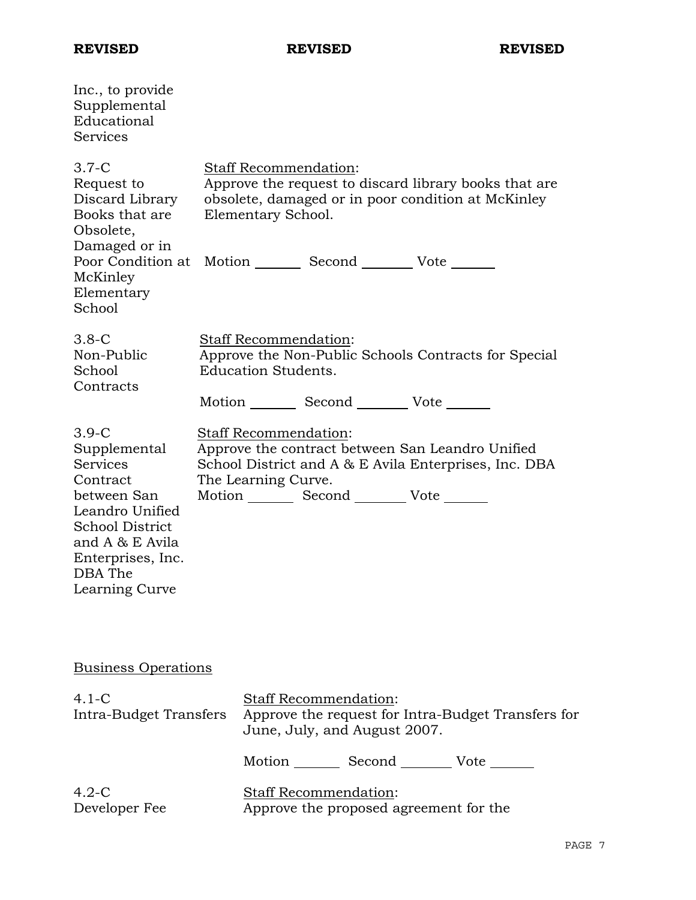| Inc., to provide<br>Supplemental<br>Educational<br>Services                                                                                                                                     |  |                                                                                                 |                                                                        |  |                                                                                                              |
|-------------------------------------------------------------------------------------------------------------------------------------------------------------------------------------------------|--|-------------------------------------------------------------------------------------------------|------------------------------------------------------------------------|--|--------------------------------------------------------------------------------------------------------------|
| $3.7-C$<br>Request to<br>Discard Library<br>Books that are<br>Obsolete,<br>Damaged or in<br>Poor Condition at Motion ________ Second _________ Vote _______<br>McKinley<br>Elementary<br>School |  | Staff Recommendation:<br>Elementary School.                                                     |                                                                        |  | Approve the request to discard library books that are.<br>obsolete, damaged or in poor condition at McKinley |
| $3.8-C$<br>Non-Public<br>School<br>Contracts                                                                                                                                                    |  | <b>Staff Recommendation:</b><br><b>Education Students.</b>                                      |                                                                        |  | Approve the Non-Public Schools Contracts for Special                                                         |
|                                                                                                                                                                                                 |  | Motion _________ Second _________ Vote _______                                                  |                                                                        |  |                                                                                                              |
| $3.9-C$<br>Supplemental<br><b>Services</b><br>Contract<br>between San<br>Leandro Unified<br><b>School District</b><br>and A & E Avila<br>Enterprises, Inc.<br>DBA The<br>Learning Curve         |  | Staff Recommendation:<br>The Learning Curve.<br>Motion _________ Second __________ Vote _______ |                                                                        |  | Approve the contract between San Leandro Unified<br>School District and A & E Avila Enterprises, Inc. DBA    |
| <b>Business Operations</b>                                                                                                                                                                      |  |                                                                                                 |                                                                        |  |                                                                                                              |
| $4.1-C$<br>Intra-Budget Transfers                                                                                                                                                               |  |                                                                                                 | Staff Recommendation:<br>June, July, and August 2007.                  |  | Approve the request for Intra-Budget Transfers for                                                           |
|                                                                                                                                                                                                 |  |                                                                                                 |                                                                        |  | Motion _________ Second __________ Vote _______                                                              |
| $4.2-C$<br>Developer Fee                                                                                                                                                                        |  |                                                                                                 | <b>Staff Recommendation:</b><br>Approve the proposed agreement for the |  |                                                                                                              |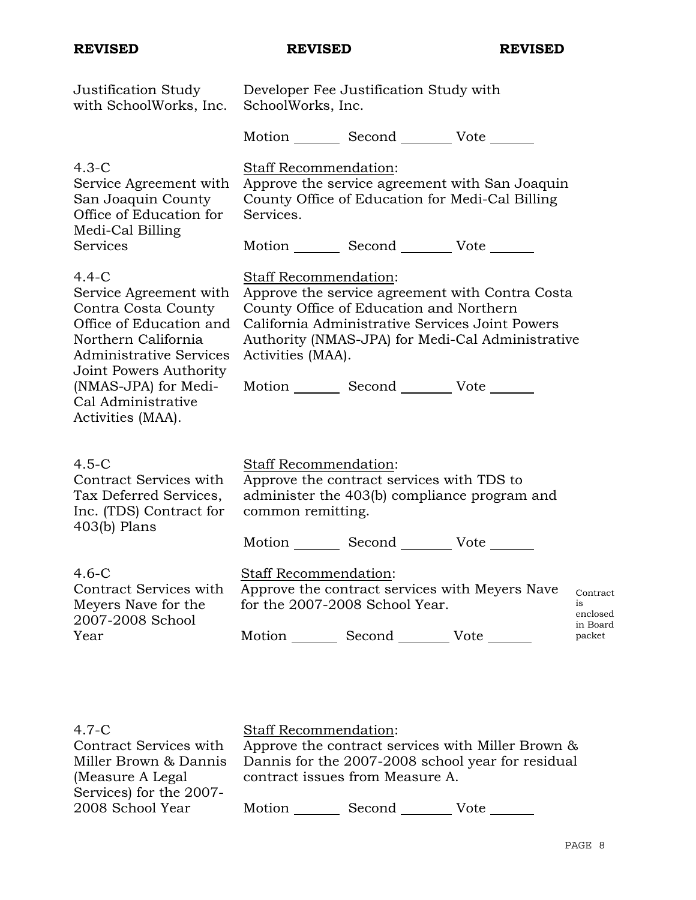| Justification Study<br>with SchoolWorks, Inc.                                                                                                                                                                                               | Developer Fee Justification Study with<br>SchoolWorks, Inc. |                                                                                               |                                                                                                                                                        |                                                  |
|---------------------------------------------------------------------------------------------------------------------------------------------------------------------------------------------------------------------------------------------|-------------------------------------------------------------|-----------------------------------------------------------------------------------------------|--------------------------------------------------------------------------------------------------------------------------------------------------------|--------------------------------------------------|
|                                                                                                                                                                                                                                             |                                                             | Motion Second Vote                                                                            |                                                                                                                                                        |                                                  |
| $4.3-C$<br>Service Agreement with<br>San Joaquin County<br>Office of Education for<br>Medi-Cal Billing<br><b>Services</b>                                                                                                                   | Staff Recommendation:<br>Services.                          | Motion Second Vote                                                                            | Approve the service agreement with San Joaquin<br>County Office of Education for Medi-Cal Billing                                                      |                                                  |
|                                                                                                                                                                                                                                             |                                                             |                                                                                               |                                                                                                                                                        |                                                  |
| $4.4 - C$<br>Service Agreement with<br>Contra Costa County<br>Office of Education and<br>Northern California<br><b>Administrative Services</b><br>Joint Powers Authority<br>(NMAS-JPA) for Medi-<br>Cal Administrative<br>Activities (MAA). | Staff Recommendation:<br>Activities (MAA).                  | County Office of Education and Northern<br>Motion _________ Second __________ Vote _______    | Approve the service agreement with Contra Costa<br>California Administrative Services Joint Powers<br>Authority (NMAS-JPA) for Medi-Cal Administrative |                                                  |
| $4.5-C$<br>Contract Services with<br>Tax Deferred Services,<br>Inc. (TDS) Contract for<br>$403(b)$ Plans                                                                                                                                    | Staff Recommendation:<br>common remitting.                  | Approve the contract services with TDS to<br>Motion _________ Second __________ Vote ________ | administer the 403(b) compliance program and                                                                                                           |                                                  |
| $4.6-C$<br>Contract Services with<br>Meyers Nave for the<br>2007-2008 School<br>Year                                                                                                                                                        | Staff Recommendation:                                       | for the 2007-2008 School Year.<br>Motion _________ Second _________ Vote _______              | Approve the contract services with Meyers Nave                                                                                                         | Contract<br>is<br>enclosed<br>in Board<br>packet |
|                                                                                                                                                                                                                                             |                                                             |                                                                                               |                                                                                                                                                        |                                                  |

| $4.7-C$                                     | <b>Staff Recommendation:</b>                      |
|---------------------------------------------|---------------------------------------------------|
| Contract Services with                      | Approve the contract services with Miller Brown & |
| Miller Brown & Dannis                       | Dannis for the 2007-2008 school year for residual |
| (Measure A Legal)                           | contract issues from Measure A.                   |
| Services) for the 2007-<br>2008 School Year | Motion<br>Second<br>Vote                          |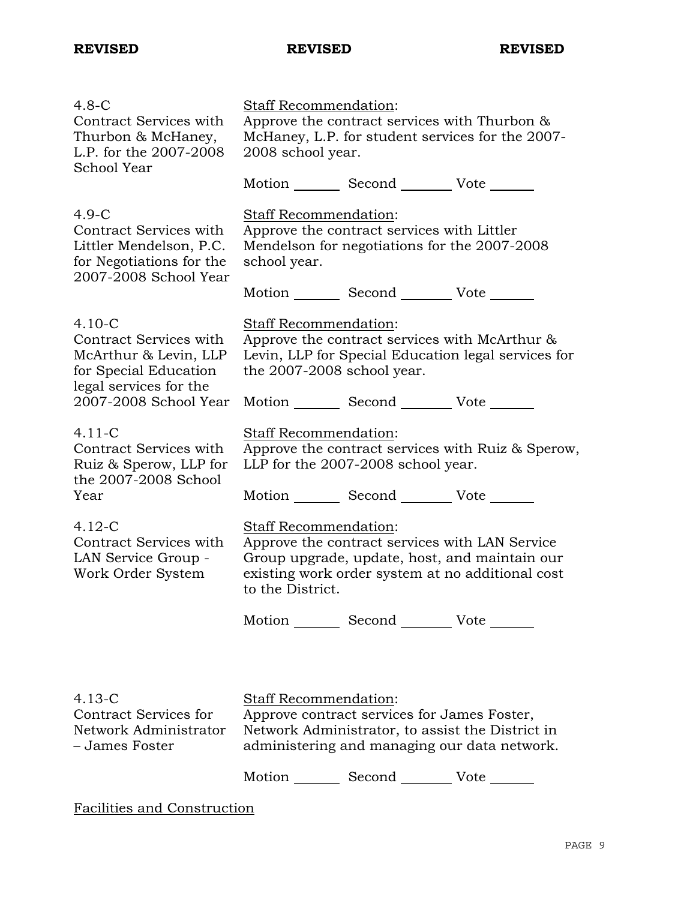| $4.8 - C$<br>Contract Services with<br>Thurbon & McHaney,<br>L.P. for the 2007-2008<br>School Year                | Staff Recommendation:<br>Approve the contract services with Thurbon &<br>McHaney, L.P. for student services for the 2007-<br>2008 school year.                                                   |  |
|-------------------------------------------------------------------------------------------------------------------|--------------------------------------------------------------------------------------------------------------------------------------------------------------------------------------------------|--|
|                                                                                                                   | Motion _________ Second __________ Vote _______                                                                                                                                                  |  |
| $4.9-C$<br>Contract Services with<br>Littler Mendelson, P.C.<br>for Negotiations for the<br>2007-2008 School Year | Staff Recommendation:<br>Approve the contract services with Littler<br>Mendelson for negotiations for the 2007-2008<br>school year.                                                              |  |
|                                                                                                                   | Motion _________ Second __________ Vote _______                                                                                                                                                  |  |
| $4.10 - C$<br>Contract Services with<br>McArthur & Levin, LLP<br>for Special Education<br>legal services for the  | Staff Recommendation:<br>Approve the contract services with McArthur &<br>Levin, LLP for Special Education legal services for<br>the 2007-2008 school year.                                      |  |
| 2007-2008 School Year                                                                                             | Motion _________ Second __________ Vote _______                                                                                                                                                  |  |
| $4.11 - C$<br>Contract Services with<br>Ruiz & Sperow, LLP for<br>the 2007-2008 School                            | Staff Recommendation:<br>Approve the contract services with Ruiz & Sperow,<br>LLP for the 2007-2008 school year.                                                                                 |  |
| Year                                                                                                              | Motion _________ Second __________ Vote _______                                                                                                                                                  |  |
| $4.12 - C$<br>Contract Services with<br>LAN Service Group -<br>Work Order System                                  | Staff Recommendation:<br>Approve the contract services with LAN Service<br>Group upgrade, update, host, and maintain our<br>existing work order system at no additional cost<br>to the District. |  |
|                                                                                                                   | Motion _________ Second __________ Vote _______                                                                                                                                                  |  |
|                                                                                                                   |                                                                                                                                                                                                  |  |
| $4.13 - C$<br>Contract Services for<br>Network Administrator<br>– James Foster                                    | Staff Recommendation:<br>Approve contract services for James Foster,<br>Network Administrator, to assist the District in<br>administering and managing our data network.                         |  |
|                                                                                                                   | Motion _________ Second ___________ Vote _______                                                                                                                                                 |  |

Facilities and Construction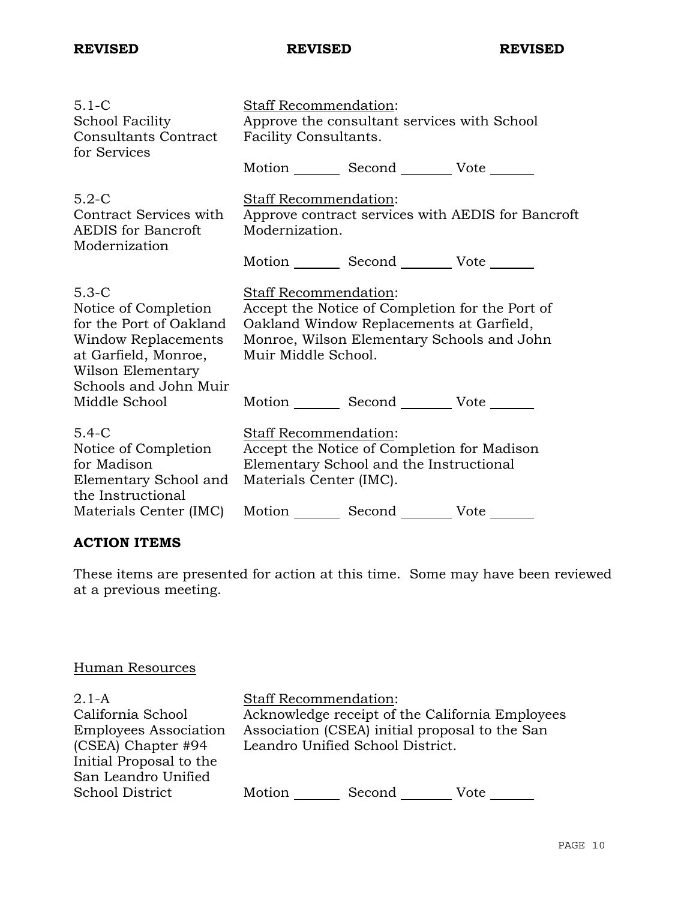| $5.1 - C$<br>School Facility<br><b>Consultants Contract</b><br>for Services                                                                             | Staff Recommendation:<br>Approve the consultant services with School<br>Facility Consultants.                                                                                             |                                                                                                                                   |  |
|---------------------------------------------------------------------------------------------------------------------------------------------------------|-------------------------------------------------------------------------------------------------------------------------------------------------------------------------------------------|-----------------------------------------------------------------------------------------------------------------------------------|--|
|                                                                                                                                                         |                                                                                                                                                                                           | Motion _________ Second __________ Vote _______                                                                                   |  |
| $5.2-C$<br>Contract Services with<br><b>AEDIS</b> for Bancroft<br>Modernization                                                                         | Staff Recommendation:<br>Approve contract services with AEDIS for Bancroft<br>Modernization.                                                                                              |                                                                                                                                   |  |
|                                                                                                                                                         |                                                                                                                                                                                           | Motion Second Vote ______                                                                                                         |  |
| $5.3-C$<br>Notice of Completion<br>for the Port of Oakland<br>Window Replacements<br>at Garfield, Monroe,<br>Wilson Elementary<br>Schools and John Muir | Staff Recommendation:<br>Accept the Notice of Completion for the Port of<br>Oakland Window Replacements at Garfield,<br>Monroe, Wilson Elementary Schools and John<br>Muir Middle School. |                                                                                                                                   |  |
| Middle School                                                                                                                                           |                                                                                                                                                                                           | Motion Second Vote                                                                                                                |  |
| $5.4-C$<br>Notice of Completion<br>for Madison<br>Elementary School and<br>the Instructional<br>Materials Center (IMC)                                  | <b>Staff Recommendation:</b><br>Materials Center (IMC).                                                                                                                                   | Accept the Notice of Completion for Madison<br>Elementary School and the Instructional<br>Motion _________ Second __________ Vote |  |
|                                                                                                                                                         |                                                                                                                                                                                           |                                                                                                                                   |  |

## **ACTION ITEMS**

These items are presented for action at this time. Some may have been reviewed at a previous meeting.

## Human Resources

2.1-A California School Employees Association (CSEA) Chapter #94 Initial Proposal to the San Leandro Unified School District

Staff Recommendation: Acknowledge receipt of the California Employees Association (CSEA) initial proposal to the San Leandro Unified School District.

Motion Second Vote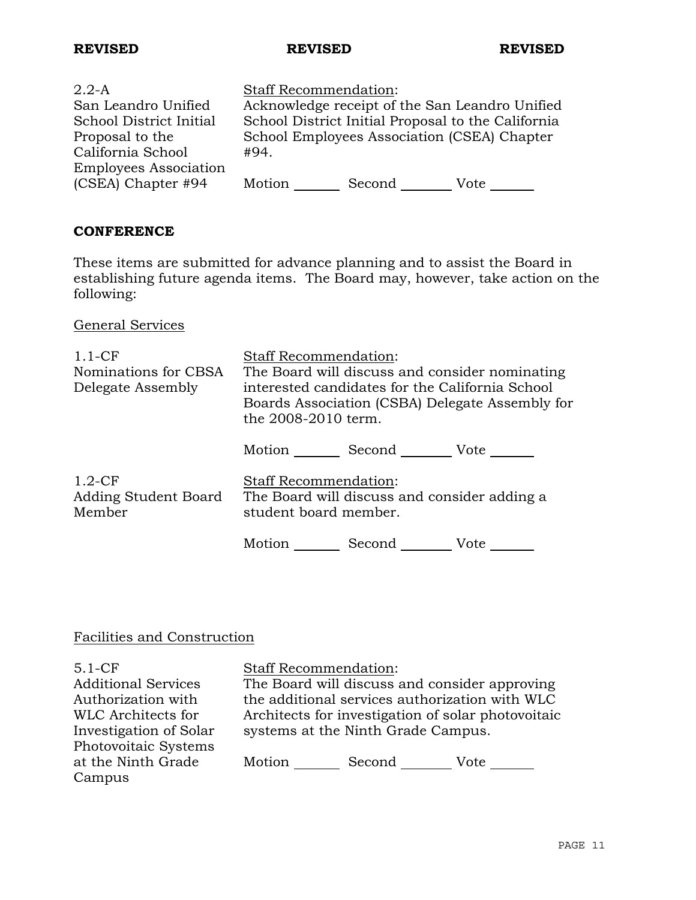| $2.2-A$                      | <b>Staff Recommendation:</b>                       |
|------------------------------|----------------------------------------------------|
| San Leandro Unified          | Acknowledge receipt of the San Leandro Unified     |
| School District Initial      | School District Initial Proposal to the California |
| Proposal to the              | School Employees Association (CSEA) Chapter        |
| California School            | #94.                                               |
| <b>Employees Association</b> |                                                    |
| (CSEA) Chapter #94           | Motion<br>Second<br>Vote                           |

## **CONFERENCE**

These items are submitted for advance planning and to assist the Board in establishing future agenda items. The Board may, however, take action on the following:

General Services

| $1.1 - CF$<br>Nominations for CBSA<br>Delegate Assembly | <b>Staff Recommendation:</b><br>The Board will discuss and consider nominating<br>interested candidates for the California School<br>Boards Association (CSBA) Delegate Assembly for<br>the 2008-2010 term. |  |
|---------------------------------------------------------|-------------------------------------------------------------------------------------------------------------------------------------------------------------------------------------------------------------|--|
|                                                         | Motion<br>Second Vote                                                                                                                                                                                       |  |
| $1.2-CF$<br>Adding Student Board<br>Member              | <b>Staff Recommendation:</b><br>The Board will discuss and consider adding a<br>student board member.                                                                                                       |  |
|                                                         | Motion<br>Second<br>Vote                                                                                                                                                                                    |  |

## Facilities and Construction

5.1-CF Additional Services Authorization with WLC Architects for Investigation of Solar Photovoitaic Systems at the Ninth Grade Campus Staff Recommendation: The Board will discuss and consider approving the additional services authorization with WLC Architects for investigation of solar photovoitaic systems at the Ninth Grade Campus. Motion Second Vote